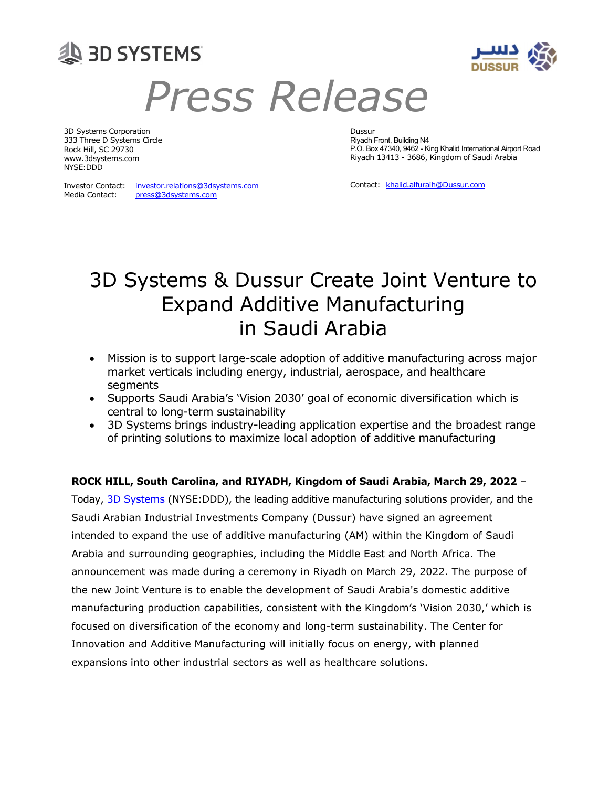



# Press Release

3D Systems Corporation Dussur 333 Three D Systems Circle Riyadh Front, Building N4 Rock Hill, SC 29730 www.3dsystems.com NYSE:DDD

Media Contact:

press@3dsystems.com

P.O. Box 47340, 9462 - King Khalid International Airport Road Riyadh 13413 - 3686, Kingdom of Saudi Arabia

Investor Contact: investor.relations@3dsystems.com Contact: khalid.alfuraih@Dussur.com

## 3D Systems & Dussur Create Joint Venture to Expand Additive Manufacturing in Saudi Arabia

- Mission is to support large-scale adoption of additive manufacturing across major market verticals including energy, industrial, aerospace, and healthcare segments
- Supports Saudi Arabia's 'Vision 2030' goal of economic diversification which is central to long-term sustainability
- 3D Systems brings industry-leading application expertise and the broadest range of printing solutions to maximize local adoption of additive manufacturing

## ROCK HILL, South Carolina, and RIYADH, Kingdom of Saudi Arabia, March 29, 2022 –

Today, 3D Systems (NYSE:DDD), the leading additive manufacturing solutions provider, and the Saudi Arabian Industrial Investments Company (Dussur) have signed an agreement intended to expand the use of additive manufacturing (AM) within the Kingdom of Saudi Arabia and surrounding geographies, including the Middle East and North Africa. The announcement was made during a ceremony in Riyadh on March 29, 2022. The purpose of the new Joint Venture is to enable the development of Saudi Arabia's domestic additive manufacturing production capabilities, consistent with the Kingdom's 'Vision 2030,' which is focused on diversification of the economy and long-term sustainability. The Center for Innovation and Additive Manufacturing will initially focus on energy, with planned expansions into other industrial sectors as well as healthcare solutions.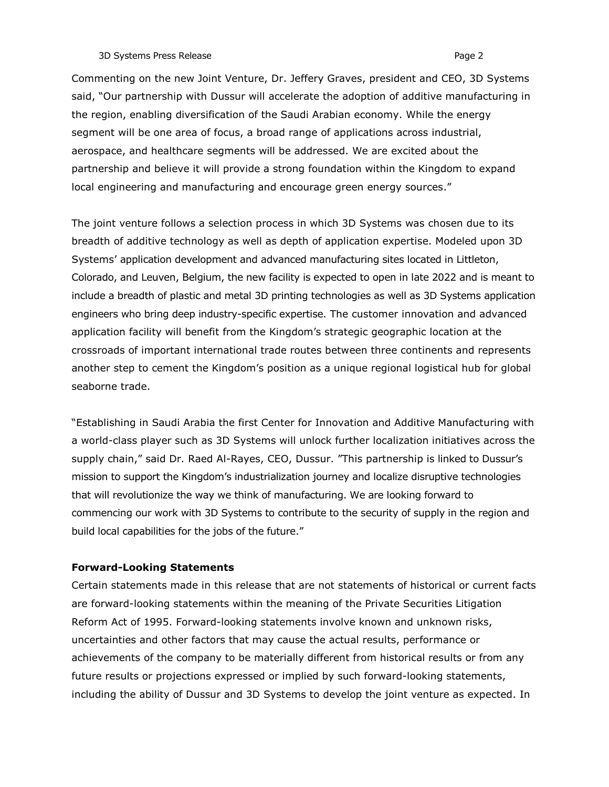#### 3D Systems Press Release **Page 2** and the system of the system of the system of the system of the system of the system of the system of the system of the system of the system of the system of the system of the system of th

Commenting on the new Joint Venture, Dr. Jeffery Graves, president and CEO, 3D Systems said, "Our partnership with Dussur will accelerate the adoption of additive manufacturing in the region, enabling diversification of the Saudi Arabian economy. While the energy segment will be one area of focus, a broad range of applications across industrial, aerospace, and healthcare segments will be addressed. We are excited about the partnership and believe it will provide a strong foundation within the Kingdom to expand local engineering and manufacturing and encourage green energy sources."

The joint venture follows a selection process in which 3D Systems was chosen due to its breadth of additive technology as well as depth of application expertise. Modeled upon 3D Systems' application development and advanced manufacturing sites located in Littleton, Colorado, and Leuven, Belgium, the new facility is expected to open in late 2022 and is meant to include a breadth of plastic and metal 3D printing technologies as well as 3D Systems application engineers who bring deep industry-specific expertise. The customer innovation and advanced application facility will benefit from the Kingdom's strategic geographic location at the crossroads of important international trade routes between three continents and represents another step to cement the Kingdom's position as a unique regional logistical hub for global seaborne trade.

"Establishing in Saudi Arabia the first Center for Innovation and Additive Manufacturing with a world-class player such as 3D Systems will unlock further localization initiatives across the supply chain," said Dr. Raed Al-Rayes, CEO, Dussur. "This partnership is linked to Dussur's mission to support the Kingdom's industrialization journey and localize disruptive technologies that will revolutionize the way we think of manufacturing. We are looking forward to commencing our work with 3D Systems to contribute to the security of supply in the region and build local capabilities for the jobs of the future."

#### Forward-Looking Statements

Certain statements made in this release that are not statements of historical or current facts are forward-looking statements within the meaning of the Private Securities Litigation Reform Act of 1995. Forward-looking statements involve known and unknown risks, uncertainties and other factors that may cause the actual results, performance or achievements of the company to be materially different from historical results or from any future results or projections expressed or implied by such forward-looking statements, including the ability of Dussur and 3D Systems to develop the joint venture as expected. In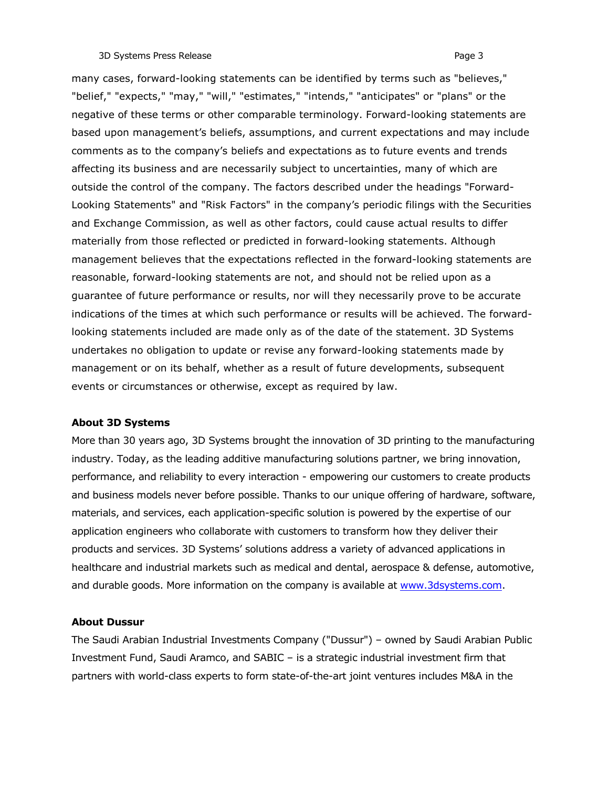#### 3D Systems Press Release **Page 3** and the system of the system of the system of the system of the system of the system of the system of the system of the system of the system of the system of the system of the system of th

many cases, forward-looking statements can be identified by terms such as "believes," "belief," "expects," "may," "will," "estimates," "intends," "anticipates" or "plans" or the negative of these terms or other comparable terminology. Forward-looking statements are based upon management's beliefs, assumptions, and current expectations and may include comments as to the company's beliefs and expectations as to future events and trends affecting its business and are necessarily subject to uncertainties, many of which are outside the control of the company. The factors described under the headings "Forward-Looking Statements" and "Risk Factors" in the company's periodic filings with the Securities and Exchange Commission, as well as other factors, could cause actual results to differ materially from those reflected or predicted in forward-looking statements. Although management believes that the expectations reflected in the forward-looking statements are reasonable, forward-looking statements are not, and should not be relied upon as a guarantee of future performance or results, nor will they necessarily prove to be accurate indications of the times at which such performance or results will be achieved. The forwardlooking statements included are made only as of the date of the statement. 3D Systems undertakes no obligation to update or revise any forward-looking statements made by management or on its behalf, whether as a result of future developments, subsequent events or circumstances or otherwise, except as required by law.

#### About 3D Systems

More than 30 years ago, 3D Systems brought the innovation of 3D printing to the manufacturing industry. Today, as the leading additive manufacturing solutions partner, we bring innovation, performance, and reliability to every interaction - empowering our customers to create products and business models never before possible. Thanks to our unique offering of hardware, software, materials, and services, each application-specific solution is powered by the expertise of our application engineers who collaborate with customers to transform how they deliver their products and services. 3D Systems' solutions address a variety of advanced applications in healthcare and industrial markets such as medical and dental, aerospace & defense, automotive, and durable goods. More information on the company is available at www.3dsystems.com.

### About Dussur

The Saudi Arabian Industrial Investments Company ("Dussur") – owned by Saudi Arabian Public Investment Fund, Saudi Aramco, and SABIC – is a strategic industrial investment firm that partners with world-class experts to form state-of-the-art joint ventures includes M&A in the